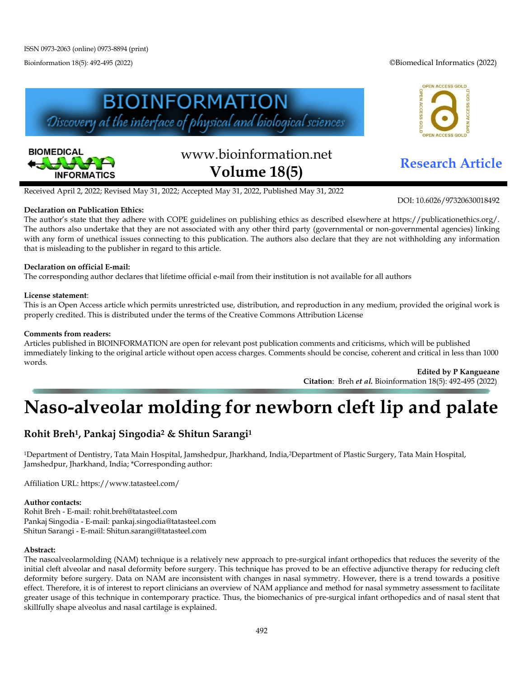Bioinformation 18(5): 492-495 (2022) ©Biomedical Informatics (2022)





# www.bioinformation.net **Research Article Volume 18(5)**



DOI: 10.6026/97320630018492

Received April 2, 2022; Revised May 31, 2022; Accepted May 31, 2022, Published May 31, 2022

## **Declaration on Publication Ethics:**

The author's state that they adhere with COPE guidelines on publishing ethics as described elsewhere at https://publicationethics.org/. The authors also undertake that they are not associated with any other third party (governmental or non-governmental agencies) linking with any form of unethical issues connecting to this publication. The authors also declare that they are not withholding any information that is misleading to the publisher in regard to this article.

### **Declaration on official E-mail:**

The corresponding author declares that lifetime official e-mail from their institution is not available for all authors

### **License statement**:

This is an Open Access article which permits unrestricted use, distribution, and reproduction in any medium, provided the original work is properly credited. This is distributed under the terms of the Creative Commons Attribution License

#### **Comments from readers:**

Articles published in BIOINFORMATION are open for relevant post publication comments and criticisms, which will be published immediately linking to the original article without open access charges. Comments should be concise, coherent and critical in less than 1000 words.

> **Edited by P Kangueane Citation**: Breh *et al.* Bioinformation 18(5): 492-495 (2022)

# **Naso-alveolar molding for newborn cleft lip and palate**

# **Rohit Breh1, Pankaj Singodia2 & Shitun Sarangi1**

1Department of Dentistry, Tata Main Hospital, Jamshedpur, Jharkhand, India,2Department of Plastic Surgery, Tata Main Hospital, Jamshedpur, Jharkhand, India; \*Corresponding author:

Affiliation URL: https://www.tatasteel.com/

#### **Author contacts:**

Rohit Breh - E-mail: [rohit.breh@tatasteel.com](mailto:rohit.breh@tatasteel.com) Pankaj Singodia - E-mail: pankaj.singodia@tatasteel.com Shitun Sarangi - E-mail: Shitun.sarangi@tatasteel.com

#### **Abstract:**

The nasoalveolarmolding (NAM) technique is a relatively new approach to pre-surgical infant orthopedics that reduces the severity of the initial cleft alveolar and nasal deformity before surgery. This technique has proved to be an effective adjunctive therapy for reducing cleft deformity before surgery. Data on NAM are inconsistent with changes in nasal symmetry. However, there is a trend towards a positive effect. Therefore, it is of interest to report clinicians an overview of NAM appliance and method for nasal symmetry assessment to facilitate greater usage of this technique in contemporary practice. Thus, the biomechanics of pre-surgical infant orthopedics and of nasal stent that skillfully shape alveolus and nasal cartilage is explained.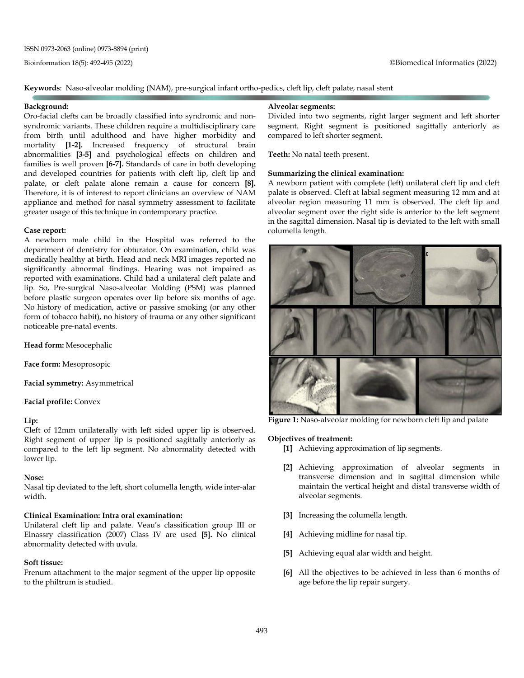#### **Keywords**: Naso-alveolar molding (NAM), pre-surgical infant ortho-pedics, cleft lip, cleft palate, nasal stent

#### **Background:**

Oro-facial clefts can be broadly classified into syndromic and nonsyndromic variants. These children require a multidisciplinary care from birth until adulthood and have higher morbidity and mortality **[1-2].** Increased frequency of structural brain abnormalities **[3-5]** and psychological effects on children and families is well proven **[6-7].** Standards of care in both developing and developed countries for patients with cleft lip, cleft lip and palate, or cleft palate alone remain a cause for concern **[8].** Therefore, it is of interest to report clinicians an overview of NAM appliance and method for nasal symmetry assessment to facilitate greater usage of this technique in contemporary practice.

#### **Case report:**

A newborn male child in the Hospital was referred to the department of dentistry for obturator. On examination, child was medically healthy at birth. Head and neck MRI images reported no significantly abnormal findings. Hearing was not impaired as reported with examinations. Child had a unilateral cleft palate and lip. So, Pre-surgical Naso-alveolar Molding (PSM) was planned before plastic surgeon operates over lip before six months of age. No history of medication, active or passive smoking (or any other form of tobacco habit), no history of trauma or any other significant noticeable pre-natal events.

**Head form:** Mesocephalic

**Face form:** Mesoprosopic

**Facial symmetry:** Asymmetrical

**Facial profile:** Convex

#### **Lip:**

Cleft of 12mm unilaterally with left sided upper lip is observed. Right segment of upper lip is positioned sagittally anteriorly as compared to the left lip segment. No abnormality detected with lower lip.

#### **Nose:**

Nasal tip deviated to the left, short columella length, wide inter-alar width.

#### **Clinical Examination: Intra oral examination:**

Unilateral cleft lip and palate. Veau's classification group III or Elnassry classification (2007) Class IV are used **[5].** No clinical abnormality detected with uvula.

#### **Soft tissue:**

Frenum attachment to the major segment of the upper lip opposite to the philtrum is studied.

#### **Alveolar segments:**

Divided into two segments, right larger segment and left shorter segment. Right segment is positioned sagittally anteriorly as compared to left shorter segment.

**Teeth:** No natal teeth present.

#### **Summarizing the clinical examination:**

A newborn patient with complete (left) unilateral cleft lip and cleft palate is observed. Cleft at labial segment measuring 12 mm and at alveolar region measuring 11 mm is observed. The cleft lip and alveolar segment over the right side is anterior to the left segment in the sagittal dimension. Nasal tip is deviated to the left with small columella length.



**Figure 1:** Naso-alveolar molding for newborn cleft lip and palate

#### **Objectives of treatment:**

- **[1]** Achieving approximation of lip segments.
- **[2]** Achieving approximation of alveolar segments in transverse dimension and in sagittal dimension while maintain the vertical height and distal transverse width of alveolar segments.
- **[3]** Increasing the columella length.
- **[4]** Achieving midline for nasal tip.
- **[5]** Achieving equal alar width and height.
- **[6]** All the objectives to be achieved in less than 6 months of age before the lip repair surgery.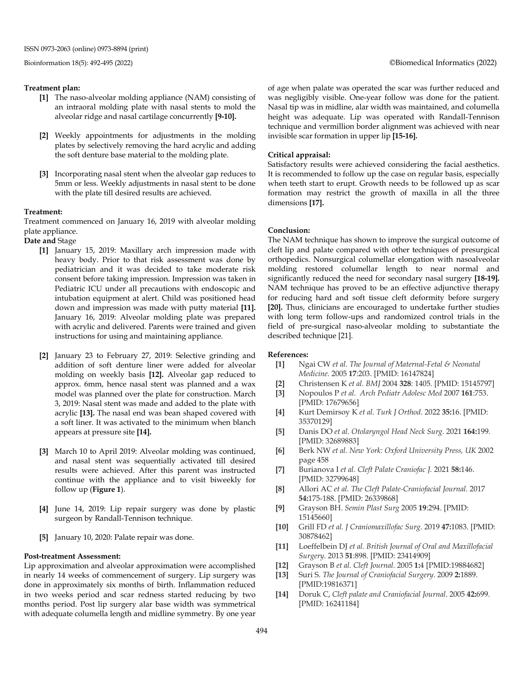#### **Treatment plan:**

- **[1]** The naso-alveolar molding appliance (NAM) consisting of an intraoral molding plate with nasal stents to mold the alveolar ridge and nasal cartilage concurrently **[9-10].**
- **[2]** Weekly appointments for adjustments in the molding plates by selectively removing the hard acrylic and adding the soft denture base material to the molding plate.
- **[3]** Incorporating nasal stent when the alveolar gap reduces to 5mm or less. Weekly adjustments in nasal stent to be done with the plate till desired results are achieved.

#### **Treatment:**

Treatment commenced on January 16, 2019 with alveolar molding plate appliance.

**Date and** Stage

- **[1]** January 15, 2019: Maxillary arch impression made with heavy body. Prior to that risk assessment was done by pediatrician and it was decided to take moderate risk consent before taking impression. Impression was taken in Pediatric ICU under all precautions with endoscopic and intubation equipment at alert. Child was positioned head down and impression was made with putty material **[11].** January 16, 2019: Alveolar molding plate was prepared with acrylic and delivered. Parents were trained and given instructions for using and maintaining appliance.
- **[2]** January 23 to February 27, 2019: Selective grinding and addition of soft denture liner were added for alveolar molding on weekly basis **[12].** Alveolar gap reduced to approx. 6mm, hence nasal stent was planned and a wax model was planned over the plate for construction. March 3, 2019: Nasal stent was made and added to the plate with acrylic **[13].** The nasal end was bean shaped covered with a soft liner. It was activated to the minimum when blanch appears at pressure site **[14].**
- **[3]** March 10 to April 2019: Alveolar molding was continued, and nasal stent was sequentially activated till desired results were achieved. After this parent was instructed continue with the appliance and to visit biweekly for follow up (**Figure 1**).
- **[4]** June 14, 2019: Lip repair surgery was done by plastic surgeon by Randall-Tennison technique.
- **[5]** January 10, 2020: Palate repair was done.

#### **Post-treatment Assessment:**

Lip approximation and alveolar approximation were accomplished in nearly 14 weeks of commencement of surgery. Lip surgery was done in approximately six months of birth. Inflammation reduced in two weeks period and scar redness started reducing by two months period. Post lip surgery alar base width was symmetrical with adequate columella length and midline symmetry. By one year of age when palate was operated the scar was further reduced and was negligibly visible. One-year follow was done for the patient. Nasal tip was in midline, alar width was maintained, and columella height was adequate. Lip was operated with Randall-Tennison technique and vermillion border alignment was achieved with near invisible scar formation in upper lip **[15-16].**

#### **Critical appraisal:**

Satisfactory results were achieved considering the facial aesthetics. It is recommended to follow up the case on regular basis, especially when teeth start to erupt. Growth needs to be followed up as scar formation may restrict the growth of maxilla in all the three dimensions **[17].**

#### **Conclusion:**

The NAM technique has shown to improve the surgical outcome of cleft lip and palate compared with other techniques of presurgical orthopedics. Nonsurgical columellar elongation with nasoalveolar molding restored columellar length to near normal and significantly reduced the need for secondary nasal surgery **[18-19].** NAM technique has proved to be an effective adjunctive therapy for reducing hard and soft tissue cleft deformity before surgery **[20].** Thus, clinicians are encouraged to undertake further studies with long term follow-ups and randomized control trials in the field of pre-surgical naso-alveolar molding to substantiate the described technique [21].

#### **References:**

- **[1]** Ngai CW *et al. The Journal of Maternal-Fetal & Neonatal Medicine.* 2005 **17**:203. [PMID: 16147824]
- **[2]** Christensen K *et al. BMJ* 2004 **328**: 1405. [PMID: 15145797]
- **[3]** Nopoulos P *et al. Arch Pediatr Adolesc Med* 2007 **161**:753. [PMID: 17679656]
- **[4]** Kurt Demirsoy K *et al. Turk J Orthod*. 2022 **35:**16. [PMID: 35370129]
- **[5]** Danis DO *et al. Otolaryngol Head Neck Surg.* 2021 **164:**199. [PMID: 32689883]
- **[6]** Berk NW *et al. New York: Oxford University Press, UK* 2002 page 458
- **[7]** Burianova I *et al. Cleft Palate Craniofac J.* 2021 **58:**146. [PMID: 32799648]
- **[8]** Allori AC *et al. The Cleft Palate-Craniofacial Journal.* 2017 **54:**175-188. [PMID: 26339868]
- **[9]** Grayson BH. *Semin Plast Surg* 2005 **19**:294. [PMID: 15145660]
- **[10]** Grill FD *et al. J Craniomaxillofac Surg.* 2019 **47:**1083. [PMID: 30878462]
- **[11]** Loeffelbein DJ *et al. British Journal of Oral and Maxillofacial Surgery*. 2013 **51**:898. [PMID: 23414909]
- **[12]** Grayson B *et al. Cleft Journal.* 2005 **1:**4 [PMID:19884682]
- **[13]** Suri S. *The Journal of Craniofacial Surgery*. 2009 **2:**1889. [PMID:19816371]
- **[14]** Doruk C, *Cleft palate and Craniofacial Journal*. 2005 **42:**699. [PMID: 16241184]